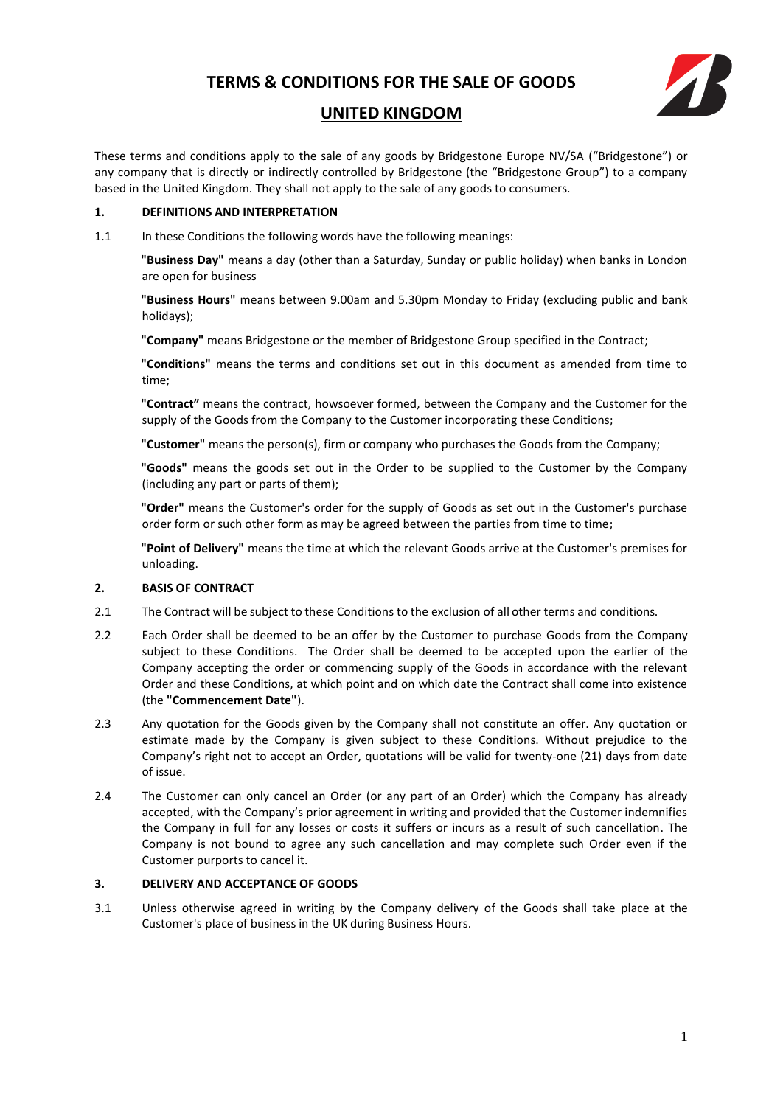

## **UNITED KINGDOM**

These terms and conditions apply to the sale of any goods by Bridgestone Europe NV/SA ("Bridgestone") or any company that is directly or indirectly controlled by Bridgestone (the "Bridgestone Group") to a company based in the United Kingdom. They shall not apply to the sale of any goods to consumers.

#### **1. DEFINITIONS AND INTERPRETATION**

1.1 In these Conditions the following words have the following meanings:

**"Business Day"** means a day (other than a Saturday, Sunday or public holiday) when banks in London are open for business

**"Business Hours"** means between 9.00am and 5.30pm Monday to Friday (excluding public and bank holidays);

**"Company"** means Bridgestone or the member of Bridgestone Group specified in the Contract;

**"Conditions"** means the terms and conditions set out in this document as amended from time to time;

**"Contract"** means the contract, howsoever formed, between the Company and the Customer for the supply of the Goods from the Company to the Customer incorporating these Conditions;

**"Customer"** means the person(s), firm or company who purchases the Goods from the Company;

**"Goods"** means the goods set out in the Order to be supplied to the Customer by the Company (including any part or parts of them);

**"Order"** means the Customer's order for the supply of Goods as set out in the Customer's purchase order form or such other form as may be agreed between the parties from time to time;

**"Point of Delivery"** means the time at which the relevant Goods arrive at the Customer's premises for unloading.

## **2. BASIS OF CONTRACT**

- 2.1 The Contract will be subject to these Conditions to the exclusion of all other terms and conditions.
- 2.2 Each Order shall be deemed to be an offer by the Customer to purchase Goods from the Company subject to these Conditions. The Order shall be deemed to be accepted upon the earlier of the Company accepting the order or commencing supply of the Goods in accordance with the relevant Order and these Conditions, at which point and on which date the Contract shall come into existence (the **"Commencement Date"**).
- 2.3 Any quotation for the Goods given by the Company shall not constitute an offer. Any quotation or estimate made by the Company is given subject to these Conditions. Without prejudice to the Company's right not to accept an Order, quotations will be valid for twenty-one (21) days from date of issue.
- 2.4 The Customer can only cancel an Order (or any part of an Order) which the Company has already accepted, with the Company's prior agreement in writing and provided that the Customer indemnifies the Company in full for any losses or costs it suffers or incurs as a result of such cancellation. The Company is not bound to agree any such cancellation and may complete such Order even if the Customer purports to cancel it.

## **3. DELIVERY AND ACCEPTANCE OF GOODS**

3.1 Unless otherwise agreed in writing by the Company delivery of the Goods shall take place at the Customer's place of business in the UK during Business Hours.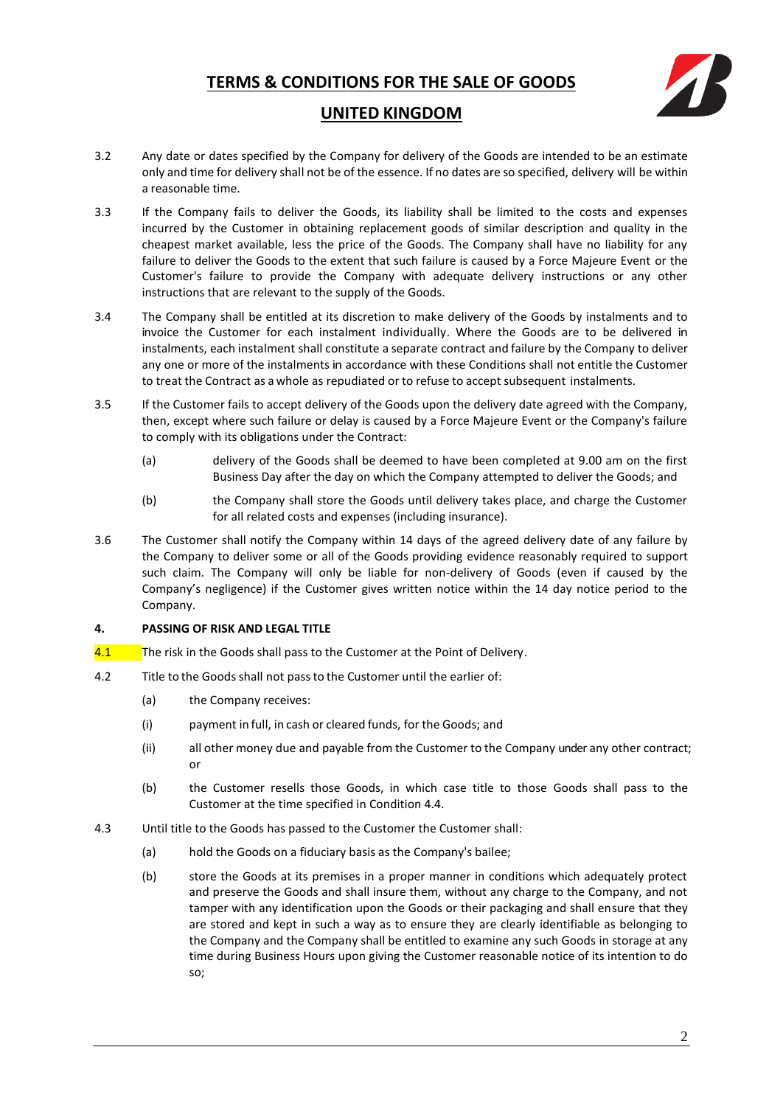

## **UNITED KINGDOM**

- 3.2 Any date or dates specified by the Company for delivery of the Goods are intended to be an estimate only and time for delivery shall not be of the essence. If no dates are so specified, delivery will be within a reasonable time.
- 3.3 If the Company fails to deliver the Goods, its liability shall be limited to the costs and expenses incurred by the Customer in obtaining replacement goods of similar description and quality in the cheapest market available, less the price of the Goods. The Company shall have no liability for any failure to deliver the Goods to the extent that such failure is caused by a Force Majeure Event or the Customer's failure to provide the Company with adequate delivery instructions or any other instructions that are relevant to the supply of the Goods.
- 3.4 The Company shall be entitled at its discretion to make delivery of the Goods by instalments and to invoice the Customer for each instalment individually. Where the Goods are to be delivered in instalments, each instalment shall constitute a separate contract and failure by the Company to deliver any one or more of the instalments in accordance with these Conditions shall not entitle the Customer to treat the Contract as a whole as repudiated or to refuse to accept subsequent instalments.
- 3.5 If the Customer fails to accept delivery of the Goods upon the delivery date agreed with the Company, then, except where such failure or delay is caused by a Force Majeure Event or the Company's failure to comply with its obligations under the Contract:
	- (a) delivery of the Goods shall be deemed to have been completed at 9.00 am on the first Business Day after the day on which the Company attempted to deliver the Goods; and
	- (b) the Company shall store the Goods until delivery takes place, and charge the Customer for all related costs and expenses (including insurance).
- 3.6 The Customer shall notify the Company within 14 days of the agreed delivery date of any failure by the Company to deliver some or all of the Goods providing evidence reasonably required to support such claim. The Company will only be liable for non-delivery of Goods (even if caused by the Company's negligence) if the Customer gives written notice within the 14 day notice period to the Company.

## **4. PASSING OF RISK AND LEGAL TITLE**

- 4.1 The risk in the Goods shall pass to the Customer at the Point of Delivery.
- 4.2 Title to the Goods shall not passto the Customer until the earlier of:
	- (a) the Company receives:
	- (i) payment in full, in cash or cleared funds, for the Goods; and
	- (ii) all other money due and payable from the Customer to the Company under any other contract; or
	- (b) the Customer resells those Goods, in which case title to those Goods shall pass to the Customer at the time specified in Condition 4.4.
- 4.3 Until title to the Goods has passed to the Customer the Customer shall:
	- (a) hold the Goods on a fiduciary basis as the Company's bailee;
	- (b) store the Goods at its premises in a proper manner in conditions which adequately protect and preserve the Goods and shall insure them, without any charge to the Company, and not tamper with any identification upon the Goods or their packaging and shall ensure that they are stored and kept in such a way as to ensure they are clearly identifiable as belonging to the Company and the Company shall be entitled to examine any such Goods in storage at any time during Business Hours upon giving the Customer reasonable notice of its intention to do so;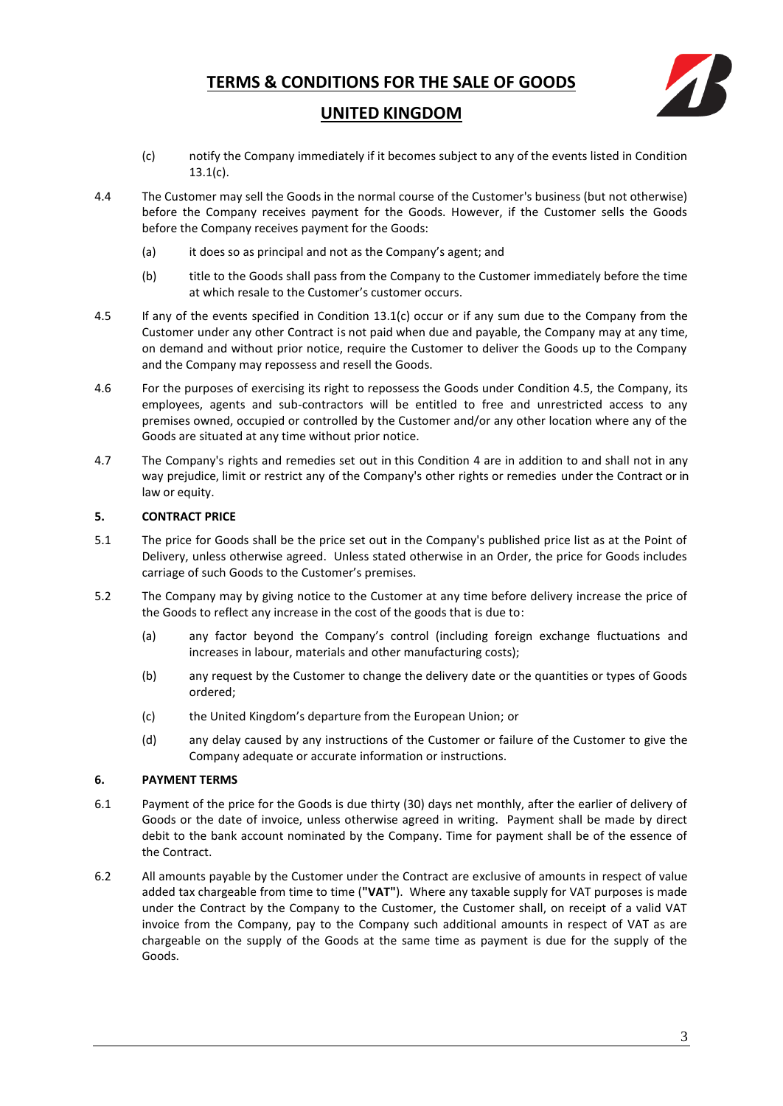

## **UNITED KINGDOM**

- (c) notify the Company immediately if it becomes subject to any of the events listed in Condition 13.1(c).
- 4.4 The Customer may sell the Goods in the normal course of the Customer's business (but not otherwise) before the Company receives payment for the Goods. However, if the Customer sells the Goods before the Company receives payment for the Goods:
	- (a) it does so as principal and not as the Company's agent; and
	- (b) title to the Goods shall pass from the Company to the Customer immediately before the time at which resale to the Customer's customer occurs.
- 4.5 If any of the events specified in Condition 13.1(c) occur or if any sum due to the Company from the Customer under any other Contract is not paid when due and payable, the Company may at any time, on demand and without prior notice, require the Customer to deliver the Goods up to the Company and the Company may repossess and resell the Goods.
- 4.6 For the purposes of exercising its right to repossess the Goods under Condition 4.5, the Company, its employees, agents and sub-contractors will be entitled to free and unrestricted access to any premises owned, occupied or controlled by the Customer and/or any other location where any of the Goods are situated at any time without prior notice.
- 4.7 The Company's rights and remedies set out in this Condition 4 are in addition to and shall not in any way prejudice, limit or restrict any of the Company's other rights or remedies under the Contract or in law or equity.

## **5. CONTRACT PRICE**

- 5.1 The price for Goods shall be the price set out in the Company's published price list as at the Point of Delivery, unless otherwise agreed. Unless stated otherwise in an Order, the price for Goods includes carriage of such Goods to the Customer's premises.
- 5.2 The Company may by giving notice to the Customer at any time before delivery increase the price of the Goods to reflect any increase in the cost of the goods that is due to:
	- (a) any factor beyond the Company's control (including foreign exchange fluctuations and increases in labour, materials and other manufacturing costs);
	- (b) any request by the Customer to change the delivery date or the quantities or types of Goods ordered;
	- (c) the United Kingdom's departure from the European Union; or
	- (d) any delay caused by any instructions of the Customer or failure of the Customer to give the Company adequate or accurate information or instructions.

## **6. PAYMENT TERMS**

- 6.1 Payment of the price for the Goods is due thirty (30) days net monthly, after the earlier of delivery of Goods or the date of invoice, unless otherwise agreed in writing. Payment shall be made by direct debit to the bank account nominated by the Company. Time for payment shall be of the essence of the Contract.
- 6.2 All amounts payable by the Customer under the Contract are exclusive of amounts in respect of value added tax chargeable from time to time (**"VAT"**). Where any taxable supply for VAT purposes is made under the Contract by the Company to the Customer, the Customer shall, on receipt of a valid VAT invoice from the Company, pay to the Company such additional amounts in respect of VAT as are chargeable on the supply of the Goods at the same time as payment is due for the supply of the Goods.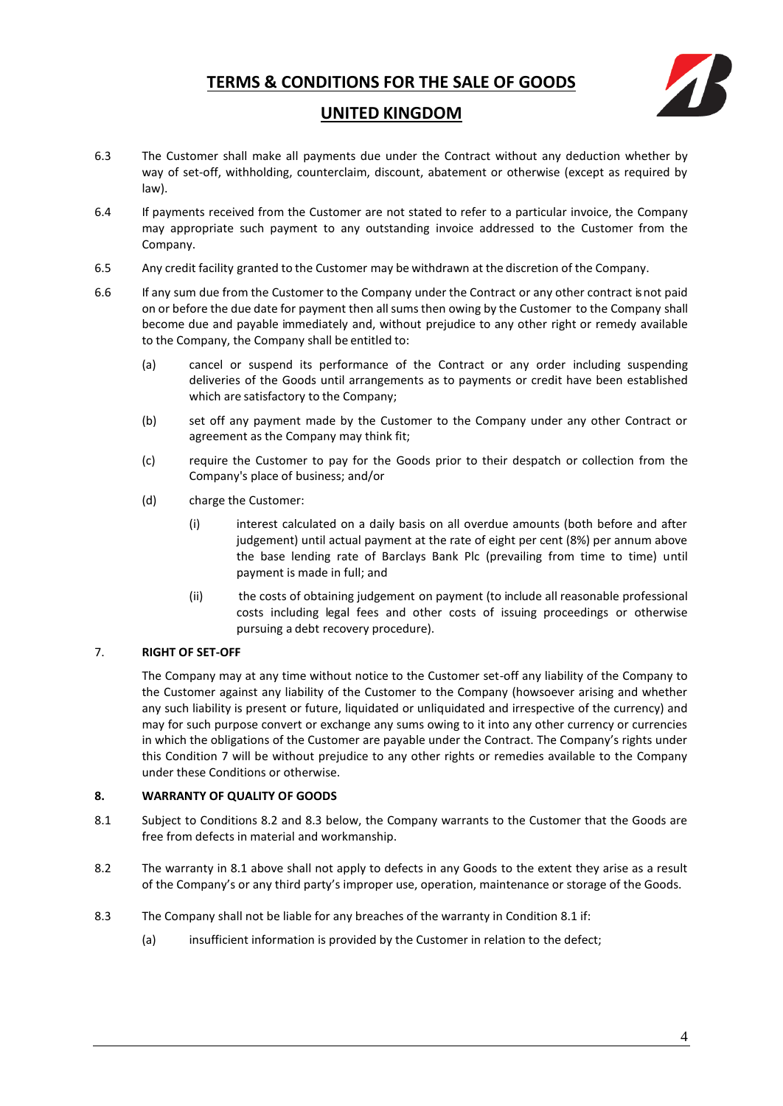

# **UNITED KINGDOM**

- 6.3 The Customer shall make all payments due under the Contract without any deduction whether by way of set-off, withholding, counterclaim, discount, abatement or otherwise (except as required by law).
- 6.4 If payments received from the Customer are not stated to refer to a particular invoice, the Company may appropriate such payment to any outstanding invoice addressed to the Customer from the Company.
- 6.5 Any credit facility granted to the Customer may be withdrawn at the discretion of the Company.
- 6.6 If any sum due from the Customer to the Company under the Contract or any other contract isnot paid on or before the due date for payment then all sums then owing by the Customer to the Company shall become due and payable immediately and, without prejudice to any other right or remedy available to the Company, the Company shall be entitled to:
	- (a) cancel or suspend its performance of the Contract or any order including suspending deliveries of the Goods until arrangements as to payments or credit have been established which are satisfactory to the Company;
	- (b) set off any payment made by the Customer to the Company under any other Contract or agreement as the Company may think fit;
	- (c) require the Customer to pay for the Goods prior to their despatch or collection from the Company's place of business; and/or
	- (d) charge the Customer:
		- (i) interest calculated on a daily basis on all overdue amounts (both before and after judgement) until actual payment at the rate of eight per cent (8%) per annum above the base lending rate of Barclays Bank Plc (prevailing from time to time) until payment is made in full; and
		- (ii) the costs of obtaining judgement on payment (to include all reasonable professional costs including legal fees and other costs of issuing proceedings or otherwise pursuing a debt recovery procedure).

## <span id="page-3-0"></span>7. **RIGHT OF SET-OFF**

The Company may at any time without notice to the Customer set-off any liability of the Company to the Customer against any liability of the Customer to the Company (howsoever arising and whether any such liability is present or future, liquidated or unliquidated and irrespective of the currency) and may for such purpose convert or exchange any sums owing to it into any other currency or currencies in which the obligations of the Customer are payable under the Contract. The Company's rights under this Condition [7](#page-3-0) will be without prejudice to any other rights or remedies available to the Company under these Conditions or otherwise.

## <span id="page-3-1"></span>**8. WARRANTY OF QUALITY OF GOODS**

- <span id="page-3-2"></span>8.1 Subject to Conditions 8.2 and 8.3 below, the Company warrants to the Customer that the Goods are free from defects in material and workmanship.
- 8.2 The warranty in 8.1 above shall not apply to defects in any Goods to the extent they arise as a result of the Company's or any third party's improper use, operation, maintenance or storage of the Goods.
- 8.3 The Company shall not be liable for any breaches of the warranty in Condition 8.1 if:
	- (a) insufficient information is provided by the Customer in relation to the defect;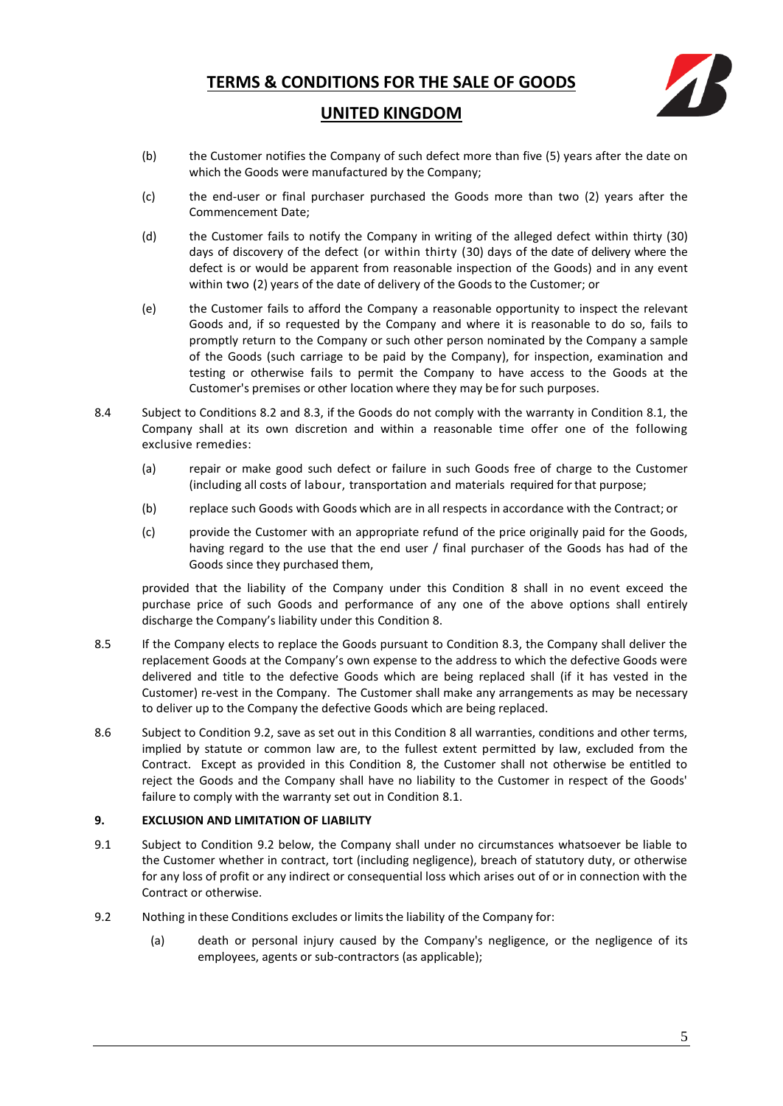

## **UNITED KINGDOM**

- (b) the Customer notifies the Company of such defect more than five (5) years after the date on which the Goods were manufactured by the Company;
- (c) the end-user or final purchaser purchased the Goods more than two (2) years after the Commencement Date;
- (d) the Customer fails to notify the Company in writing of the alleged defect within thirty (30) days of discovery of the defect (or within thirty (30) days of the date of delivery where the defect is or would be apparent from reasonable inspection of the Goods) and in any event within two (2) years of the date of delivery of the Goods to the Customer; or
- (e) the Customer fails to afford the Company a reasonable opportunity to inspect the relevant Goods and, if so requested by the Company and where it is reasonable to do so, fails to promptly return to the Company or such other person nominated by the Company a sample of the Goods (such carriage to be paid by the Company), for inspection, examination and testing or otherwise fails to permit the Company to have access to the Goods at the Customer's premises or other location where they may be for such purposes.
- 8.4 Subject to Conditions 8.2 and 8.3, if the Goods do not comply with the warranty in Condition 8.1, the Company shall at its own discretion and within a reasonable time offer one of the following exclusive remedies:
	- (a) repair or make good such defect or failure in such Goods free of charge to the Customer (including all costs of labour, transportation and materials required for that purpose;
	- (b) replace such Goods with Goods which are in all respects in accordance with the Contract; or
	- (c) provide the Customer with an appropriate refund of the price originally paid for the Goods, having regard to the use that the end user / final purchaser of the Goods has had of the Goods since they purchased them,

provided that the liability of the Company under this Condition [8](#page-3-1) shall in no event exceed the purchase price of such Goods and performance of any one of the above options shall entirely discharge the Company's liability under this Condition 8.

- 8.5 If the Company elects to replace the Goods pursuant to Condition 8.3, the Company shall deliver the replacement Goods at the Company's own expense to the address to which the defective Goods were delivered and title to the defective Goods which are being replaced shall (if it has vested in the Customer) re-vest in the Company. The Customer shall make any arrangements as may be necessary to deliver up to the Company the defective Goods which are being replaced.
- 8.6 Subject to Condition 9.2, save as set out in this Condition 8 all warranties, conditions and other terms, implied by statute or common law are, to the fullest extent permitted by law, excluded from the Contract. Except as provided in this Condition [8,](#page-3-1) the Customer shall not otherwise be entitled to reject the Goods and the Company shall have no liability to the Customer in respect of the Goods' failure to comply with the warranty set out in Conditio[n 8.1.](#page-3-2)

## **9. EXCLUSION AND LIMITATION OF LIABILITY**

- <span id="page-4-1"></span>9.1 Subject to Condition [9.2](#page-4-0) below, the Company shall under no circumstances whatsoever be liable to the Customer whether in contract, tort (including negligence), breach of statutory duty, or otherwise for any loss of profit or any indirect or consequential loss which arises out of or in connection with the Contract or otherwise.
- <span id="page-4-0"></span>9.2 Nothing in these Conditions excludes or limits the liability of the Company for:
	- (a) death or personal injury caused by the Company's negligence, or the negligence of its employees, agents or sub-contractors (as applicable);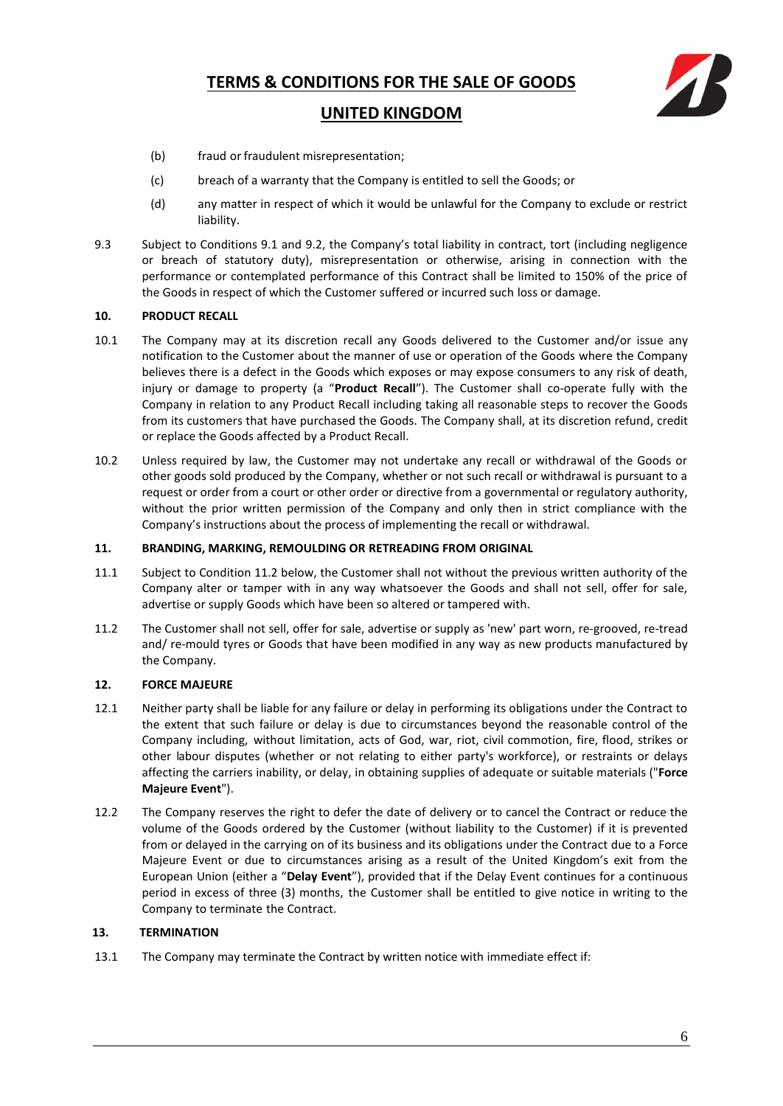

## **UNITED KINGDOM**

- (b) fraud or fraudulent misrepresentation;
- (c) breach of a warranty that the Company is entitled to sell the Goods; or
- (d) any matter in respect of which it would be unlawful for the Company to exclude or restrict liability.
- 9.3 Subject to Conditions [9.1](#page-4-1) and [9.2](#page-4-0), the Company's total liability in contract, tort (including negligence or breach of statutory duty), misrepresentation or otherwise, arising in connection with the performance or contemplated performance of this Contract shall be limited to 150% of the price of the Goods in respect of which the Customer suffered or incurred such loss or damage.

#### **10. PRODUCT RECALL**

- 10.1 The Company may at its discretion recall any Goods delivered to the Customer and/or issue any notification to the Customer about the manner of use or operation of the Goods where the Company believes there is a defect in the Goods which exposes or may expose consumers to any risk of death, injury or damage to property (a "**Product Recall**"). The Customer shall co-operate fully with the Company in relation to any Product Recall including taking all reasonable steps to recover the Goods from its customers that have purchased the Goods. The Company shall, at its discretion refund, credit or replace the Goods affected by a Product Recall.
- 10.2 Unless required by law, the Customer may not undertake any recall or withdrawal of the Goods or other goods sold produced by the Company, whether or not such recall or withdrawal is pursuant to a request or order from a court or other order or directive from a governmental or regulatory authority, without the prior written permission of the Company and only then in strict compliance with the Company's instructions about the process of implementing the recall or withdrawal.

#### **11. BRANDING, MARKING, REMOULDING OR RETREADING FROM ORIGINAL**

- 11.1 Subject to Condition 11.2 below, the Customer shall not without the previous written authority of the Company alter or tamper with in any way whatsoever the Goods and shall not sell, offer for sale, advertise or supply Goods which have been so altered or tampered with.
- 11.2 The Customer shall not sell, offer for sale, advertise or supply as 'new' part worn, re-grooved, re-tread and/ re-mould tyres or Goods that have been modified in any way as new products manufactured by the Company.

#### **12. FORCE MAJEURE**

- 12.1 Neither party shall be liable for any failure or delay in performing its obligations under the Contract to the extent that such failure or delay is due to circumstances beyond the reasonable control of the Company including, without limitation, acts of God, war, riot, civil commotion, fire, flood, strikes or other labour disputes (whether or not relating to either party's workforce), or restraints or delays affecting the carriers inability, or delay, in obtaining supplies of adequate or suitable materials ("**Force Majeure Event**").
- 12.2 The Company reserves the right to defer the date of delivery or to cancel the Contract or reduce the volume of the Goods ordered by the Customer (without liability to the Customer) if it is prevented from or delayed in the carrying on of its business and its obligations under the Contract due to a Force Majeure Event or due to circumstances arising as a result of the United Kingdom's exit from the European Union (either a "**Delay Event**"), provided that if the Delay Event continues for a continuous period in excess of three (3) months, the Customer shall be entitled to give notice in writing to the Company to terminate the Contract.

#### **13. TERMINATION**

13.1 The Company may terminate the Contract by written notice with immediate effect if: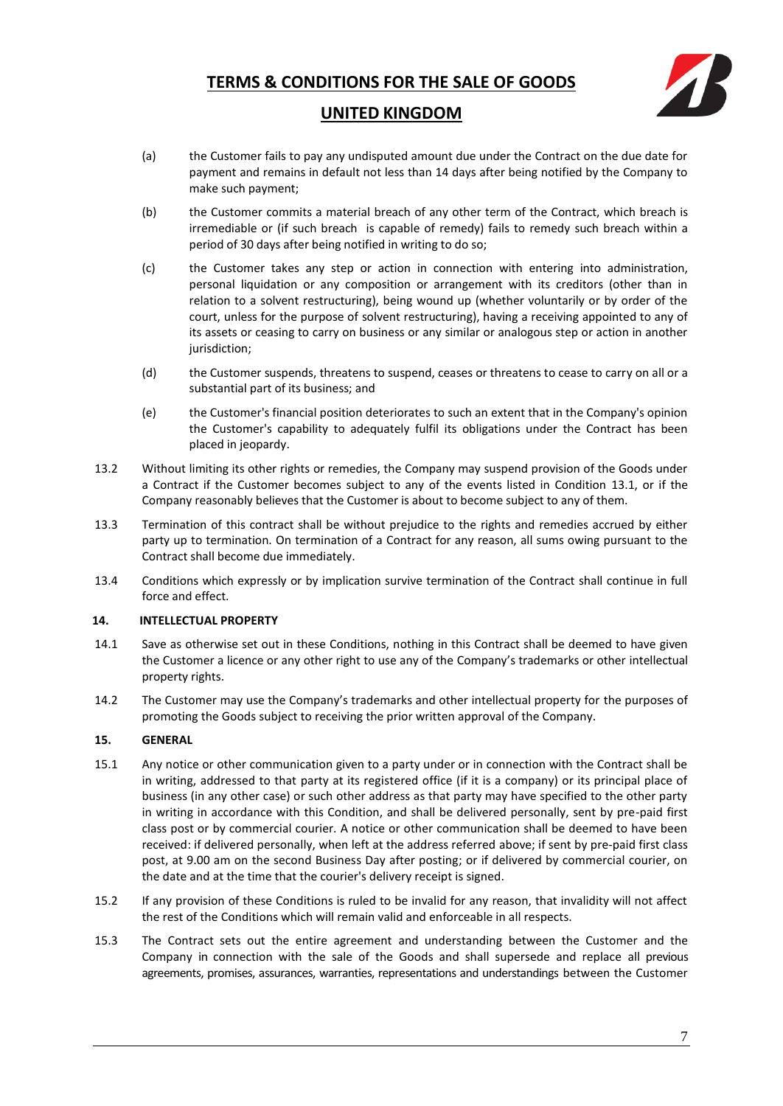

## **UNITED KINGDOM**

- (a) the Customer fails to pay any undisputed amount due under the Contract on the due date for payment and remains in default not less than 14 days after being notified by the Company to make such payment;
- (b) the Customer commits a material breach of any other term of the Contract, which breach is irremediable or (if such breach is capable of remedy) fails to remedy such breach within a period of 30 days after being notified in writing to do so;
- (c) the Customer takes any step or action in connection with entering into administration, personal liquidation or any composition or arrangement with its creditors (other than in relation to a solvent restructuring), being wound up (whether voluntarily or by order of the court, unless for the purpose of solvent restructuring), having a receiving appointed to any of its assets or ceasing to carry on business or any similar or analogous step or action in another jurisdiction;
- (d) the Customer suspends, threatens to suspend, ceases or threatens to cease to carry on all or a substantial part of its business; and
- (e) the Customer's financial position deteriorates to such an extent that in the Company's opinion the Customer's capability to adequately fulfil its obligations under the Contract has been placed in jeopardy.
- 13.2 Without limiting its other rights or remedies, the Company may suspend provision of the Goods under a Contract if the Customer becomes subject to any of the events listed in Condition 13.1, or if the Company reasonably believes that the Customer is about to become subject to any of them.
- 13.3 Termination of this contract shall be without prejudice to the rights and remedies accrued by either party up to termination. On termination of a Contract for any reason, all sums owing pursuant to the Contract shall become due immediately.
- 13.4 Conditions which expressly or by implication survive termination of the Contract shall continue in full force and effect.

## **14. INTELLECTUAL PROPERTY**

- 14.1 Save as otherwise set out in these Conditions, nothing in this Contract shall be deemed to have given the Customer a licence or any other right to use any of the Company's trademarks or other intellectual property rights.
- 14.2 The Customer may use the Company's trademarks and other intellectual property for the purposes of promoting the Goods subject to receiving the prior written approval of the Company.

## **15. GENERAL**

- 15.1 Any notice or other communication given to a party under or in connection with the Contract shall be in writing, addressed to that party at its registered office (if it is a company) or its principal place of business (in any other case) or such other address as that party may have specified to the other party in writing in accordance with this Condition, and shall be delivered personally, sent by pre-paid first class post or by commercial courier. A notice or other communication shall be deemed to have been received: if delivered personally, when left at the address referred above; if sent by pre-paid first class post, at 9.00 am on the second Business Day after posting; or if delivered by commercial courier, on the date and at the time that the courier's delivery receipt is signed.
- 15.2 If any provision of these Conditions is ruled to be invalid for any reason, that invalidity will not affect the rest of the Conditions which will remain valid and enforceable in all respects.
- 15.3 The Contract sets out the entire agreement and understanding between the Customer and the Company in connection with the sale of the Goods and shall supersede and replace all previous agreements, promises, assurances, warranties, representations and understandings between the Customer